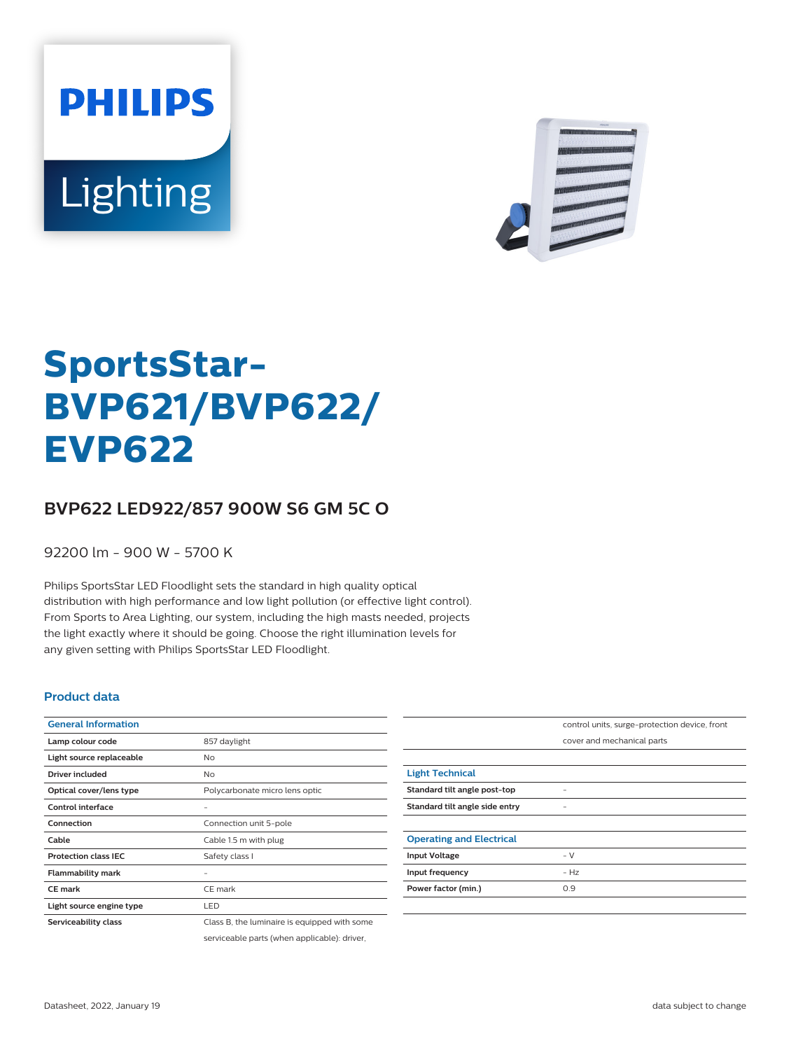



# **SportsStar-BVP621/BVP622/ EVP622**

## **BVP622 LED922/857 900W S6 GM 5C O**

92200 lm - 900 W - 5700 K

Philips SportsStar LED Floodlight sets the standard in high quality optical distribution with high performance and low light pollution (or effective light control). From Sports to Area Lighting, our system, including the high masts needed, projects the light exactly where it should be going. Choose the right illumination levels for any given setting with Philips SportsStar LED Floodlight.

#### **Product data**

| <b>General Information</b>  |                                              |
|-----------------------------|----------------------------------------------|
| Lamp colour code            | 857 daylight                                 |
| Light source replaceable    | No                                           |
| Driver included             | <b>No</b>                                    |
| Optical cover/lens type     | Polycarbonate micro lens optic               |
| Control interface           | -                                            |
| Connection                  | Connection unit 5-pole                       |
| Cable                       | Cable 1.5 m with plug                        |
| <b>Protection class IEC</b> | Safety class I                               |
| <b>Flammability mark</b>    |                                              |
| <b>CE</b> mark              | CE mark                                      |
| Light source engine type    | LED                                          |
| Serviceability class        | Class B, the luminaire is equipped with some |
|                             | serviceable parts (when applicable): driver, |

|                                 | control units, surge-protection device, front |
|---------------------------------|-----------------------------------------------|
|                                 | cover and mechanical parts                    |
|                                 |                                               |
| <b>Light Technical</b>          |                                               |
| Standard tilt angle post-top    |                                               |
| Standard tilt angle side entry  | -                                             |
|                                 |                                               |
| <b>Operating and Electrical</b> |                                               |
| <b>Input Voltage</b>            | $-V$                                          |
| Input frequency                 | $- Hz$                                        |
| Power factor (min.)             | 0.9                                           |
|                                 |                                               |